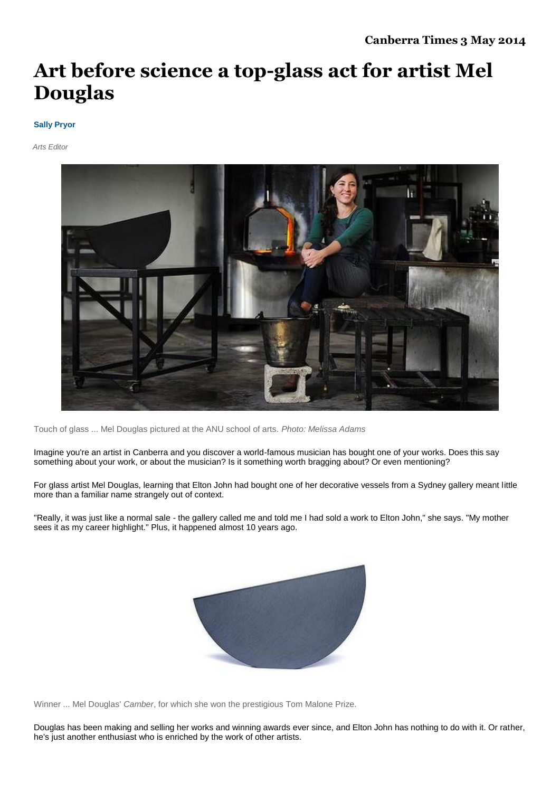## **Art before science a top-glass act for artist Mel Douglas**

## **[Sally Pryor](http://www.canberratimes.com.au/entertainment/by/Sally-Pryor)**

*Arts Editor*



Touch of glass ... Mel Douglas pictured at the ANU school of arts. *Photo: Melissa Adams*

Imagine you're an artist in Canberra and you discover a world-famous musician has bought one of your works. Does this say something about your work, or about the musician? Is it something worth bragging about? Or even mentioning?

For glass artist Mel Douglas, learning that Elton John had bought one of her decorative vessels from a Sydney gallery meant little more than a familiar name strangely out of context.

"Really, it was just like a normal sale - the gallery called me and told me I had sold a work to Elton John," she says. "My mother sees it as my career highlight." Plus, it happened almost 10 years ago.



Winner ... Mel Douglas' *Camber*, for which she won the prestigious Tom Malone Prize.

Douglas has been making and selling her works and winning awards ever since, and Elton John has nothing to do with it. Or rather, he's just another enthusiast who is enriched by the work of other artists.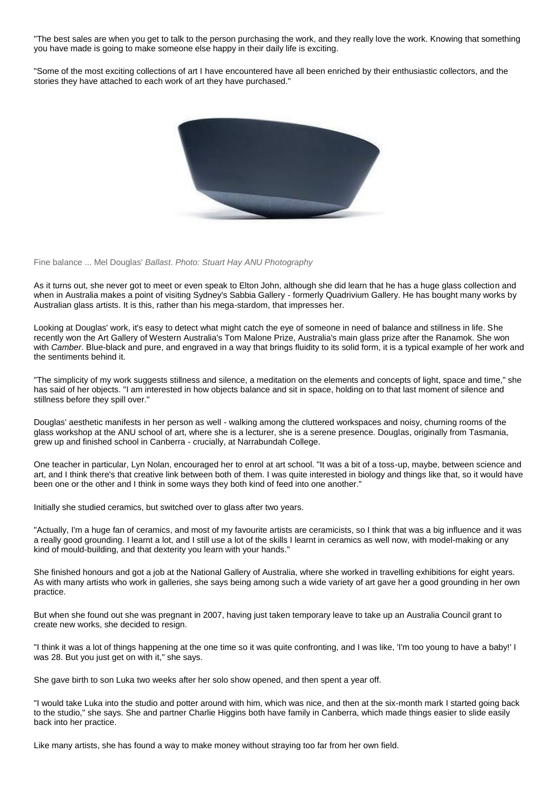"The best sales are when you get to talk to the person purchasing the work, and they really love the work. Knowing that something you have made is going to make someone else happy in their daily life is exciting.

"Some of the most exciting collections of art I have encountered have all been enriched by their enthusiastic collectors, and the stories they have attached to each work of art they have purchased."



Fine balance ... Mel Douglas' *Ballast*. *Photo: Stuart Hay ANU Photography*

As it turns out, she never got to meet or even speak to Elton John, although she did learn that he has a huge glass collection and when in Australia makes a point of visiting Sydney's Sabbia Gallery - formerly Quadrivium Gallery. He has bought many works by Australian glass artists. It is this, rather than his mega-stardom, that impresses her.

Looking at Douglas' work, it's easy to detect what might catch the eye of someone in need of balance and stillness in life. She recently won the Art Gallery of Western Australia's Tom Malone Prize, Australia's main glass prize after the Ranamok. She won with *Camber*. Blue-black and pure, and engraved in a way that brings fluidity to its solid form, it is a typical example of her work and the sentiments behind it.

"The simplicity of my work suggests stillness and silence, a meditation on the elements and concepts of light, space and time," she has said of her objects. "I am interested in how objects balance and sit in space, holding on to that last moment of silence and stillness before they spill over."

Douglas' aesthetic manifests in her person as well - walking among the cluttered workspaces and noisy, churning rooms of the glass workshop at the ANU school of art, where she is a lecturer, she is a serene presence. Douglas, originally from Tasmania, grew up and finished school in Canberra - crucially, at Narrabundah College.

One teacher in particular, Lyn Nolan, encouraged her to enrol at art school. "It was a bit of a toss-up, maybe, between science and art, and I think there's that creative link between both of them. I was quite interested in biology and things like that, so it would have been one or the other and I think in some ways they both kind of feed into one another."

Initially she studied ceramics, but switched over to glass after two years.

"Actually, I'm a huge fan of ceramics, and most of my favourite artists are ceramicists, so I think that was a big influence and it was a really good grounding. I learnt a lot, and I still use a lot of the skills I learnt in ceramics as well now, with model-making or any kind of mould-building, and that dexterity you learn with your hands."

She finished honours and got a job at the National Gallery of Australia, where she worked in travelling exhibitions for eight years. As with many artists who work in galleries, she says being among such a wide variety of art gave her a good grounding in her own practice.

But when she found out she was pregnant in 2007, having just taken temporary leave to take up an Australia Council grant to create new works, she decided to resign.

"I think it was a lot of things happening at the one time so it was quite confronting, and I was like, 'I'm too young to have a baby!' I was 28. But you just get on with it," she says.

She gave birth to son Luka two weeks after her solo show opened, and then spent a year off.

"I would take Luka into the studio and potter around with him, which was nice, and then at the six-month mark I started going back to the studio," she says. She and partner Charlie Higgins both have family in Canberra, which made things easier to slide easily back into her practice.

Like many artists, she has found a way to make money without straying too far from her own field.